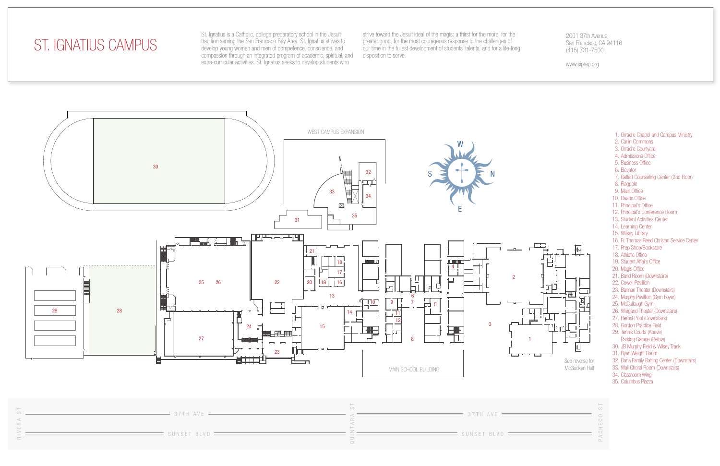- 1. Orradre Chapel and Campus Ministry
- 2. Carlin Commons
- 3. Orradre Courtyard
- 4. Admissions Office
- 5. Business Office
- 6. Elevator
- 7. Gellert Counseling Center (2nd Floor)
- 8. Flagpole
- 9. Main Office
- 10. Deans Office
- 11. Principal's Office
- 12. Principal's Conference Room
- 13. Student Activities Center
- 14. Learning Center
- 15. Wilsey Library
- 16. Fr. Thomas Reed Christan Service Center
- 17. Prep Shop/Bookstore
- 18. Athletic Office
- 19. Student Affairs Office
- 20. Magis Office
- 21. Band Room (Downstairs)
- 22. Cowell Pavillion
- 23. Bannan Theater (Downstairs)
- 24. Murphy Pavillion (Gym Foyer)
- 25. McCullough Gym
- 26. Wiegand Theater (Downstairs)
- 27. Herbst Pool (Downstairs)
- 28. Gordon Practice Field
- 29. Tennis Courts (Above) Parking Garage (Below)
- 30. JB Murphy Field & Wilsey Track
- 31. Ryan Weight Room
- 32. Dana Family Batting Center (Downstairs)
- 33. Wall Choral Room (Downstairs)
- 34. Classroom Wing
- 35. Columbus Piazza

McGucken Hall





PACHECO ST

 $\circlearrowright$ 

## ST. IGNATIUS CAMPUS

St. Ignatius is a Catholic, college preparatory school in the Jesuit tradition serving the San Francisco Bay Area. St. Ignatius strives to develop young women and men of competence, conscience, and compassion through an integrated program of academic, spiritual, and extra-curricular activities. St. Ignatius seeks to develop students who

strive toward the Jesuit ideal of the magis: a thirst for the more, for the greater good, for the most courageous response to the challenges of our time in the fullest development of students' talents, and for a life-long disposition to serve.

## 2001 37th Avenue San Francisco, CA 94116 (415) 731-7500

www.siprep.org